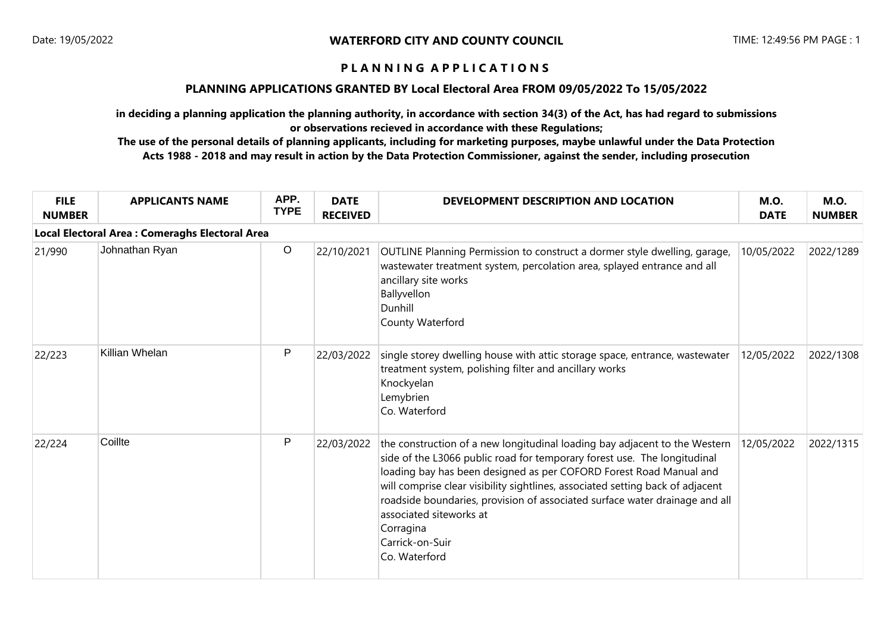### **PLANNING APPLICATIONS GRANTED BY Local Electoral Area FROM 09/05/2022 To 15/05/2022**

**in deciding a planning application the planning authority, in accordance with section 34(3) of the Act, has had regard to submissions or observations recieved in accordance with these Regulations;**

| <b>FILE</b><br><b>NUMBER</b> | <b>APPLICANTS NAME</b>                                | APP.<br><b>TYPE</b> | <b>DATE</b><br><b>RECEIVED</b> | DEVELOPMENT DESCRIPTION AND LOCATION                                                                                                                                                                                                                                                                                                                                                                                                                                      | <b>M.O.</b><br><b>DATE</b> | <b>M.O.</b><br><b>NUMBER</b> |  |  |  |
|------------------------------|-------------------------------------------------------|---------------------|--------------------------------|---------------------------------------------------------------------------------------------------------------------------------------------------------------------------------------------------------------------------------------------------------------------------------------------------------------------------------------------------------------------------------------------------------------------------------------------------------------------------|----------------------------|------------------------------|--|--|--|
|                              | <b>Local Electoral Area: Comeraghs Electoral Area</b> |                     |                                |                                                                                                                                                                                                                                                                                                                                                                                                                                                                           |                            |                              |  |  |  |
| 21/990                       | Johnathan Ryan                                        | $\circ$             | 22/10/2021                     | OUTLINE Planning Permission to construct a dormer style dwelling, garage,<br>wastewater treatment system, percolation area, splayed entrance and all<br>ancillary site works<br>Ballyvellon<br>Dunhill<br>County Waterford                                                                                                                                                                                                                                                | 10/05/2022                 | 2022/1289                    |  |  |  |
| 22/223                       | Killian Whelan                                        | P                   | 22/03/2022                     | single storey dwelling house with attic storage space, entrance, wastewater<br>treatment system, polishing filter and ancillary works<br>Knockyelan<br>Lemybrien<br>Co. Waterford                                                                                                                                                                                                                                                                                         | 12/05/2022                 | 2022/1308                    |  |  |  |
| 22/224                       | Coillte                                               | P                   | 22/03/2022                     | the construction of a new longitudinal loading bay adjacent to the Western<br>side of the L3066 public road for temporary forest use. The longitudinal<br>loading bay has been designed as per COFORD Forest Road Manual and<br>will comprise clear visibility sightlines, associated setting back of adjacent<br>roadside boundaries, provision of associated surface water drainage and all<br>associated siteworks at<br>Corragina<br>Carrick-on-Suir<br>Co. Waterford | 12/05/2022                 | 2022/1315                    |  |  |  |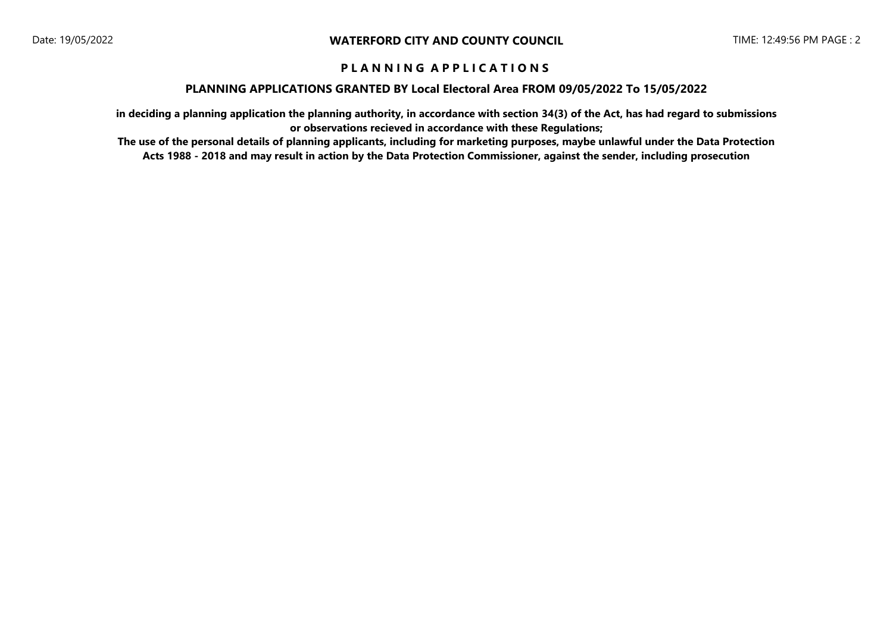### **PLANNING APPLICATIONS GRANTED BY Local Electoral Area FROM 09/05/2022 To 15/05/2022**

**in deciding a planning application the planning authority, in accordance with section 34(3) of the Act, has had regard to submissions or observations recieved in accordance with these Regulations;**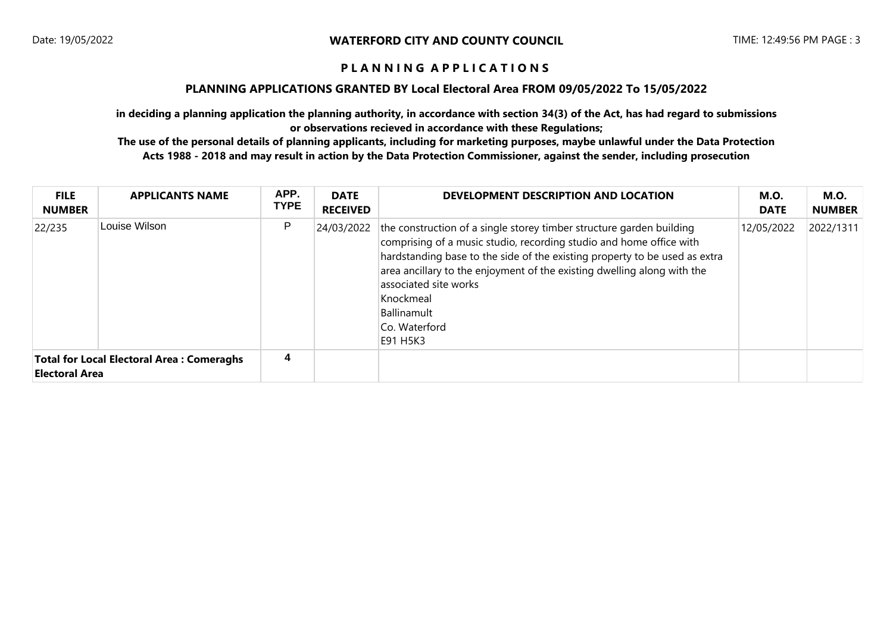### **PLANNING APPLICATIONS GRANTED BY Local Electoral Area FROM 09/05/2022 To 15/05/2022**

**in deciding a planning application the planning authority, in accordance with section 34(3) of the Act, has had regard to submissions or observations recieved in accordance with these Regulations;**

| <b>FILE</b><br><b>NUMBER</b> | <b>APPLICANTS NAME</b>                           | APP.<br><b>TYPE</b> | <b>DATE</b><br><b>RECEIVED</b> | DEVELOPMENT DESCRIPTION AND LOCATION                                                                                                                                                                                                                                                                                                                                                              | M.O.<br><b>DATE</b> | M.O.<br><b>NUMBER</b> |
|------------------------------|--------------------------------------------------|---------------------|--------------------------------|---------------------------------------------------------------------------------------------------------------------------------------------------------------------------------------------------------------------------------------------------------------------------------------------------------------------------------------------------------------------------------------------------|---------------------|-----------------------|
| 22/235                       | Louise Wilson                                    | P                   |                                | 24/03/2022 the construction of a single storey timber structure garden building<br>comprising of a music studio, recording studio and home office with<br>hardstanding base to the side of the existing property to be used as extra<br>area ancillary to the enjoyment of the existing dwelling along with the<br>associated site works<br>Knockmeal<br>Ballinamult<br>Co. Waterford<br>E91 H5K3 | 12/05/2022          | 2022/1311             |
| <b>Electoral Area</b>        | <b>Total for Local Electoral Area: Comeraghs</b> | 4                   |                                |                                                                                                                                                                                                                                                                                                                                                                                                   |                     |                       |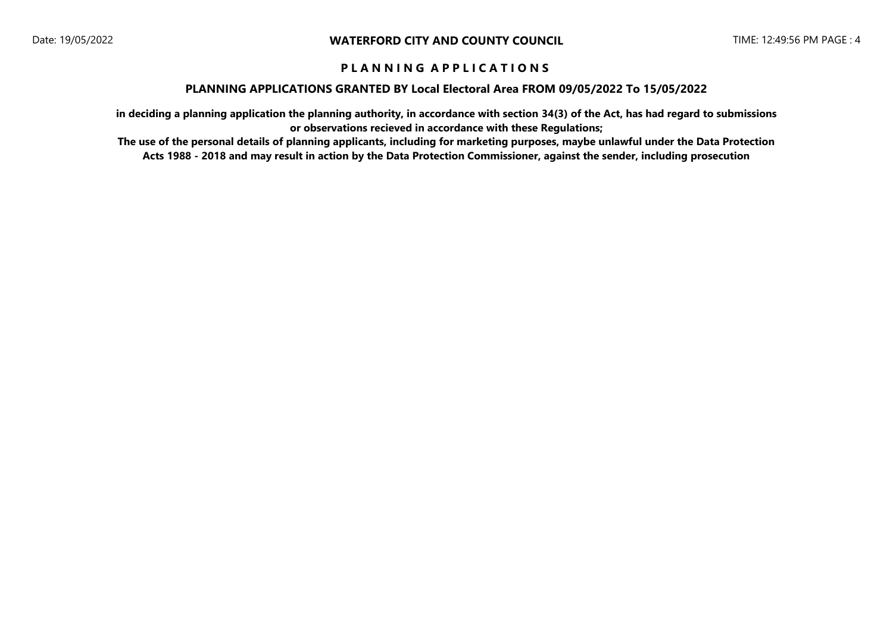#### **PLANNING APPLICATIONS GRANTED BY Local Electoral Area FROM 09/05/2022 To 15/05/2022**

**in deciding a planning application the planning authority, in accordance with section 34(3) of the Act, has had regard to submissions or observations recieved in accordance with these Regulations;**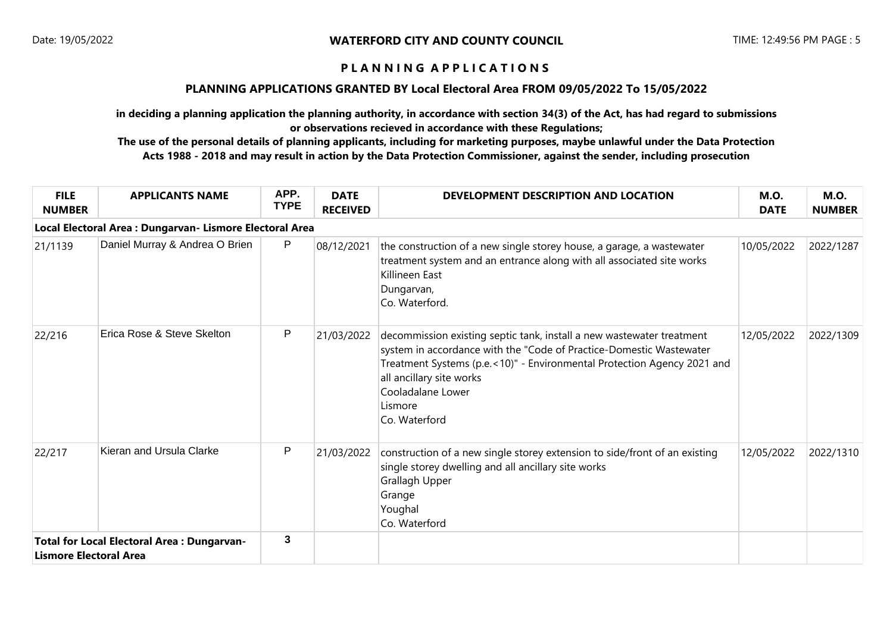### **PLANNING APPLICATIONS GRANTED BY Local Electoral Area FROM 09/05/2022 To 15/05/2022**

**in deciding a planning application the planning authority, in accordance with section 34(3) of the Act, has had regard to submissions or observations recieved in accordance with these Regulations;**

| <b>FILE</b><br><b>NUMBER</b>  | <b>APPLICANTS NAME</b>                                   | APP.<br><b>TYPE</b> | <b>DATE</b><br><b>RECEIVED</b> | DEVELOPMENT DESCRIPTION AND LOCATION                                                                                                                                                                                                                                                                 | <b>M.O.</b><br><b>DATE</b> | <b>M.O.</b><br><b>NUMBER</b> |
|-------------------------------|----------------------------------------------------------|---------------------|--------------------------------|------------------------------------------------------------------------------------------------------------------------------------------------------------------------------------------------------------------------------------------------------------------------------------------------------|----------------------------|------------------------------|
|                               | Local Electoral Area : Dungarvan- Lismore Electoral Area |                     |                                |                                                                                                                                                                                                                                                                                                      |                            |                              |
| 21/1139                       | Daniel Murray & Andrea O Brien                           | P                   | 08/12/2021                     | the construction of a new single storey house, a garage, a wastewater<br>treatment system and an entrance along with all associated site works<br>Killineen East<br>Dungarvan,<br>Co. Waterford.                                                                                                     | 10/05/2022                 | 2022/1287                    |
| 22/216                        | Erica Rose & Steve Skelton                               | P                   | 21/03/2022                     | decommission existing septic tank, install a new wastewater treatment<br>system in accordance with the "Code of Practice-Domestic Wastewater<br>Treatment Systems (p.e.<10)" - Environmental Protection Agency 2021 and<br>all ancillary site works<br>Cooladalane Lower<br>Lismore<br>Co. Waterford | 12/05/2022                 | 2022/1309                    |
| 22/217                        | Kieran and Ursula Clarke                                 | P                   | 21/03/2022                     | construction of a new single storey extension to side/front of an existing<br>single storey dwelling and all ancillary site works<br>Grallagh Upper<br>Grange<br>Youghal<br>Co. Waterford                                                                                                            | 12/05/2022                 | 2022/1310                    |
| <b>Lismore Electoral Area</b> | <b>Total for Local Electoral Area: Dungarvan-</b>        | $\mathbf{3}$        |                                |                                                                                                                                                                                                                                                                                                      |                            |                              |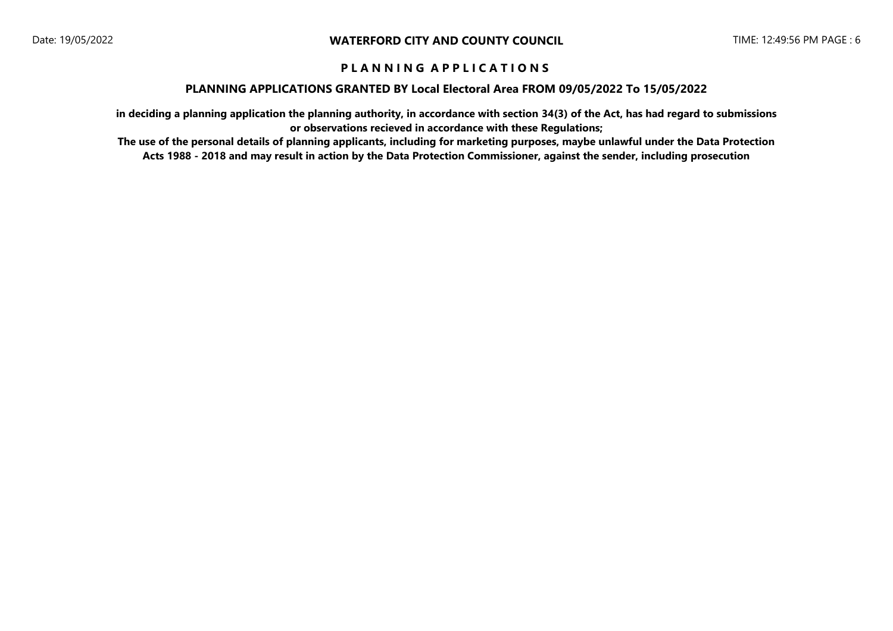### **PLANNING APPLICATIONS GRANTED BY Local Electoral Area FROM 09/05/2022 To 15/05/2022**

**in deciding a planning application the planning authority, in accordance with section 34(3) of the Act, has had regard to submissions or observations recieved in accordance with these Regulations;**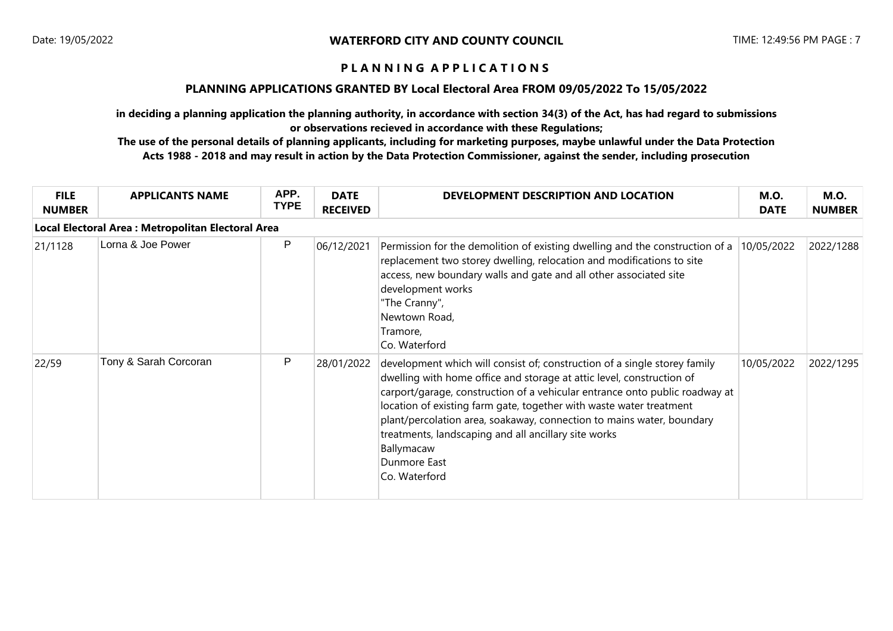#### **PLANNING APPLICATIONS GRANTED BY Local Electoral Area FROM 09/05/2022 To 15/05/2022**

**in deciding a planning application the planning authority, in accordance with section 34(3) of the Act, has had regard to submissions or observations recieved in accordance with these Regulations;**

| <b>FILE</b><br><b>NUMBER</b> | <b>APPLICANTS NAME</b>                             | APP.<br><b>TYPE</b> | <b>DATE</b><br><b>RECEIVED</b> | DEVELOPMENT DESCRIPTION AND LOCATION                                                                                                                                                                                                                                                                                                                                                                                                                                                     | <b>M.O.</b><br><b>DATE</b> | <b>M.O.</b><br><b>NUMBER</b> |
|------------------------------|----------------------------------------------------|---------------------|--------------------------------|------------------------------------------------------------------------------------------------------------------------------------------------------------------------------------------------------------------------------------------------------------------------------------------------------------------------------------------------------------------------------------------------------------------------------------------------------------------------------------------|----------------------------|------------------------------|
|                              | Local Electoral Area : Metropolitan Electoral Area |                     |                                |                                                                                                                                                                                                                                                                                                                                                                                                                                                                                          |                            |                              |
| 21/1128                      | Lorna & Joe Power                                  | P                   | 06/12/2021                     | Permission for the demolition of existing dwelling and the construction of a<br>replacement two storey dwelling, relocation and modifications to site<br>access, new boundary walls and gate and all other associated site<br>development works<br>"The Cranny",<br>Newtown Road,<br>Tramore,<br>Co. Waterford                                                                                                                                                                           | 10/05/2022                 | 2022/1288                    |
| 22/59                        | Tony & Sarah Corcoran                              | P                   | 28/01/2022                     | development which will consist of; construction of a single storey family<br>dwelling with home office and storage at attic level, construction of<br>carport/garage, construction of a vehicular entrance onto public roadway at<br>location of existing farm gate, together with waste water treatment<br>plant/percolation area, soakaway, connection to mains water, boundary<br>treatments, landscaping and all ancillary site works<br>Ballymacaw<br>Dunmore East<br>Co. Waterford | 10/05/2022                 | 2022/1295                    |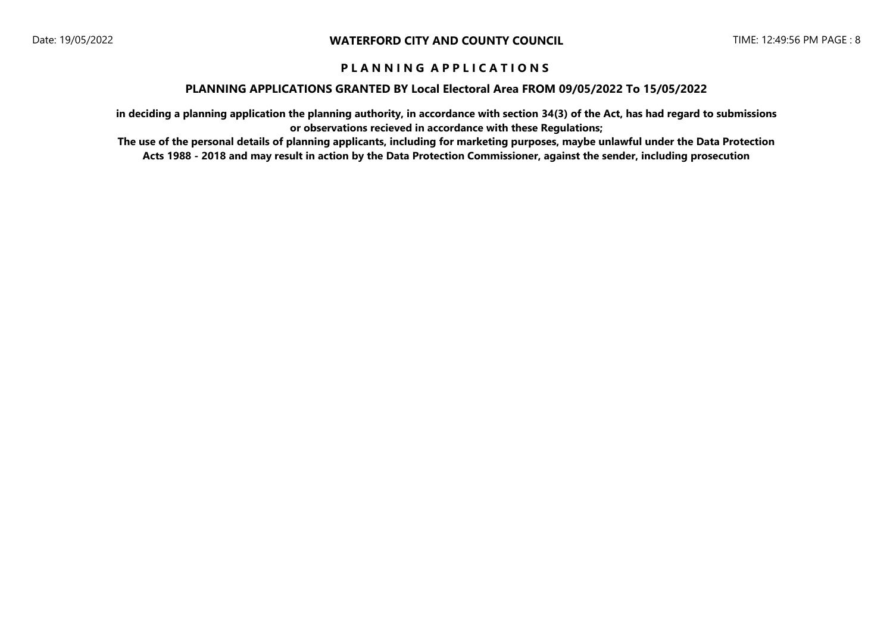### **PLANNING APPLICATIONS GRANTED BY Local Electoral Area FROM 09/05/2022 To 15/05/2022**

**in deciding a planning application the planning authority, in accordance with section 34(3) of the Act, has had regard to submissions or observations recieved in accordance with these Regulations;**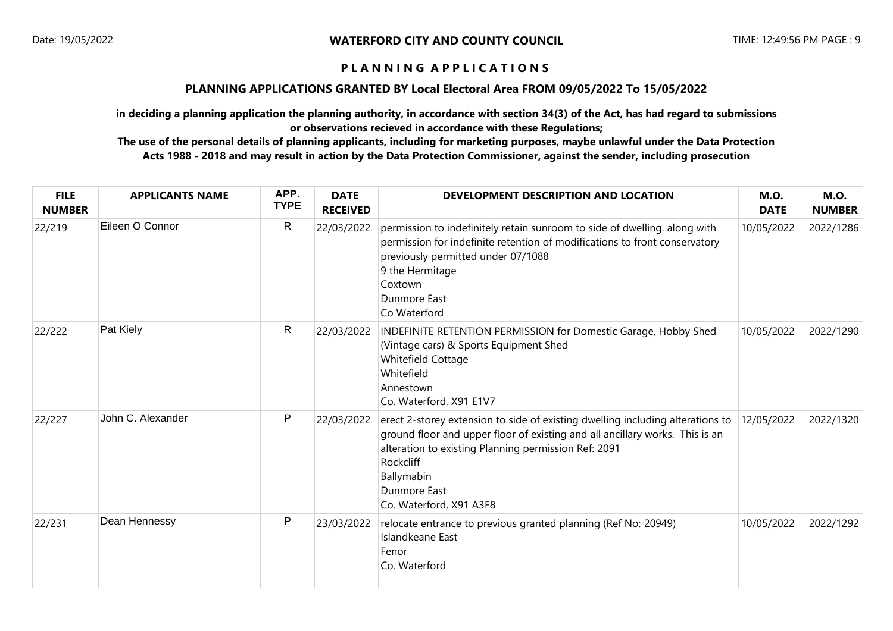### **PLANNING APPLICATIONS GRANTED BY Local Electoral Area FROM 09/05/2022 To 15/05/2022**

**in deciding a planning application the planning authority, in accordance with section 34(3) of the Act, has had regard to submissions or observations recieved in accordance with these Regulations;**

| <b>FILE</b><br><b>NUMBER</b> | <b>APPLICANTS NAME</b> | APP.<br><b>TYPE</b> | <b>DATE</b><br><b>RECEIVED</b> | DEVELOPMENT DESCRIPTION AND LOCATION                                                                                                                                                                                                                                                                | <b>M.O.</b><br><b>DATE</b> | <b>M.O.</b><br><b>NUMBER</b> |
|------------------------------|------------------------|---------------------|--------------------------------|-----------------------------------------------------------------------------------------------------------------------------------------------------------------------------------------------------------------------------------------------------------------------------------------------------|----------------------------|------------------------------|
| 22/219                       | Eileen O Connor        | R                   | 22/03/2022                     | permission to indefinitely retain sunroom to side of dwelling. along with<br>permission for indefinite retention of modifications to front conservatory<br>previously permitted under 07/1088<br>9 the Hermitage<br>Coxtown<br>Dunmore East<br>Co Waterford                                         | 10/05/2022                 | 2022/1286                    |
| 22/222                       | Pat Kiely              | R                   | 22/03/2022                     | INDEFINITE RETENTION PERMISSION for Domestic Garage, Hobby Shed<br>(Vintage cars) & Sports Equipment Shed<br>Whitefield Cottage<br>Whitefield<br>Annestown<br>Co. Waterford, X91 E1V7                                                                                                               | 10/05/2022                 | 2022/1290                    |
| 22/227                       | John C. Alexander      | P                   | 22/03/2022                     | erect 2-storey extension to side of existing dwelling including alterations to<br>ground floor and upper floor of existing and all ancillary works. This is an<br>alteration to existing Planning permission Ref: 2091<br><b>Rockcliff</b><br>Ballymabin<br>Dunmore East<br>Co. Waterford, X91 A3F8 | 12/05/2022                 | 2022/1320                    |
| 22/231                       | Dean Hennessy          | P                   | 23/03/2022                     | relocate entrance to previous granted planning (Ref No: 20949)<br>Islandkeane East<br>Fenor<br>Co. Waterford                                                                                                                                                                                        | 10/05/2022                 | 2022/1292                    |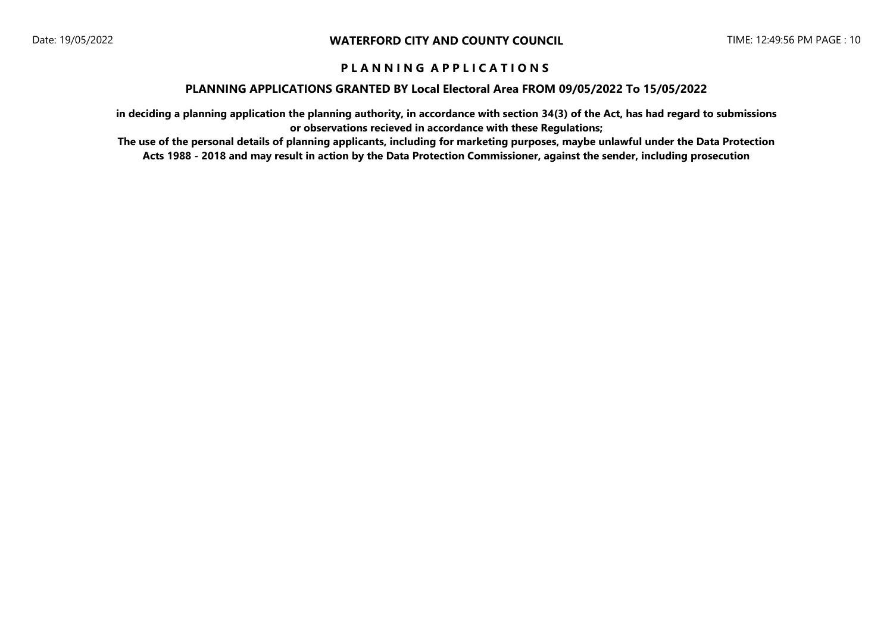### **PLANNING APPLICATIONS GRANTED BY Local Electoral Area FROM 09/05/2022 To 15/05/2022**

**in deciding a planning application the planning authority, in accordance with section 34(3) of the Act, has had regard to submissions or observations recieved in accordance with these Regulations;**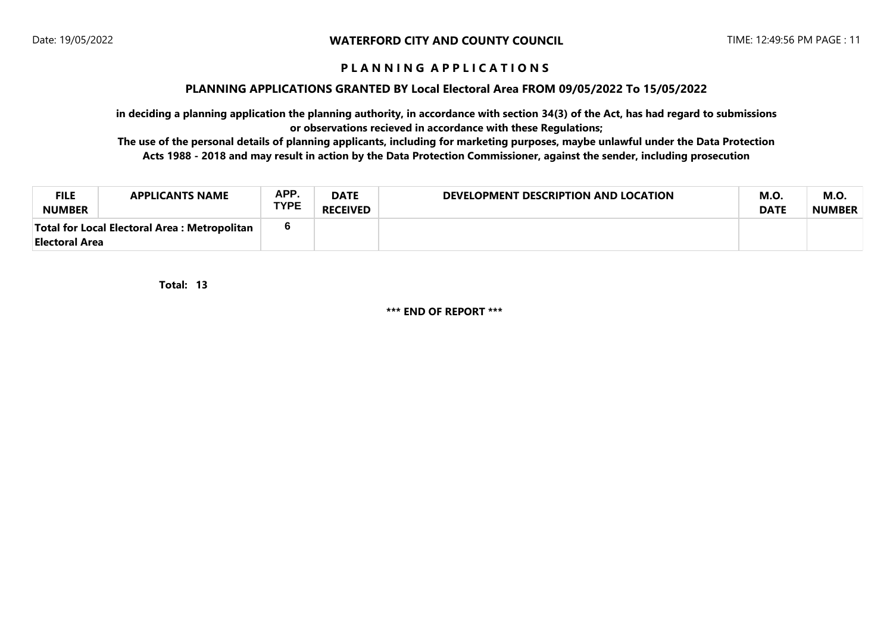#### **PLANNING APPLICATIONS GRANTED BY Local Electoral Area FROM 09/05/2022 To 15/05/2022**

**in deciding a planning application the planning authority, in accordance with section 34(3) of the Act, has had regard to submissions or observations recieved in accordance with these Regulations;**

**The use of the personal details of planning applicants, including for marketing purposes, maybe unlawful under the Data Protection Acts 1988 - 2018 and may result in action by the Data Protection Commissioner, against the sender, including prosecution**

| <b>FILE</b><br><b>NUMBER</b>                                    | <b>APPLICANTS NAME</b> | APP.<br><b>TYPE</b> | <b>DATE</b><br><b>RECEIVED</b> | DEVELOPMENT DESCRIPTION AND LOCATION | <b>M.O.</b><br><b>DATE</b> | M.O<br><b>NUMBER</b> |
|-----------------------------------------------------------------|------------------------|---------------------|--------------------------------|--------------------------------------|----------------------------|----------------------|
| Total for Local Electoral Area : Metropolitan<br>Electoral Area |                        |                     |                                |                                      |                            |                      |

**13 Total:** 

**\*\*\* END OF REPORT \*\*\***